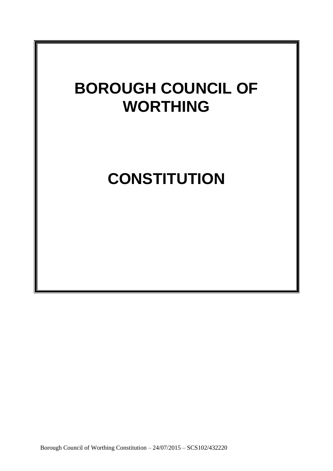# **BOROUGH COUNCIL OF WORTHING**

## **CONSTITUTION**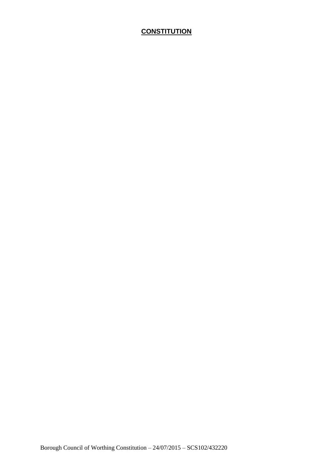## **CONSTITUTION**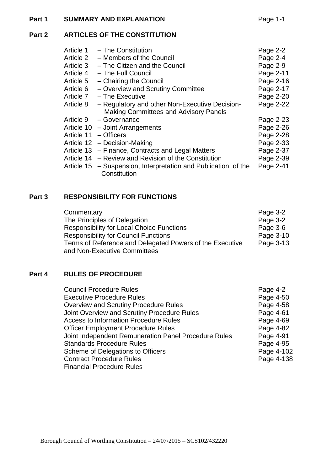#### **Part 1 SUMMARY AND EXPLANATION Page 1-1**

### **Part 2 ARTICLES OF THE CONSTITUTION**

| Article 1  | - The Constitution                                  | Page 2-2  |
|------------|-----------------------------------------------------|-----------|
| Article 2  | - Members of the Council                            | Page 2-4  |
| Article 3  | - The Citizen and the Council                       | Page 2-9  |
| Article 4  | - The Full Council                                  | Page 2-11 |
| Article 5  | - Chairing the Council                              | Page 2-16 |
| Article 6  | - Overview and Scrutiny Committee                   | Page 2-17 |
| Article 7  | - The Executive                                     | Page 2-20 |
| Article 8  | - Regulatory and other Non-Executive Decision-      | Page 2-22 |
|            | <b>Making Committees and Advisory Panels</b>        |           |
| Article 9  | - Governance                                        | Page 2-23 |
| Article 10 | - Joint Arrangements                                | Page 2-26 |
| Article 11 | – Officers                                          | Page 2-28 |
| Article 12 | - Decision-Making                                   | Page 2-33 |
| Article 13 | - Finance, Contracts and Legal Matters              | Page 2-37 |
| Article 14 | - Review and Revision of the Constitution           | Page 2-39 |
| Article 15 | - Suspension, Interpretation and Publication of the | Page 2-41 |
|            | Constitution                                        |           |

#### **Part 3 RESPONSIBILITY FOR FUNCTIONS**

| Commentary                                               | Page 3-2  |
|----------------------------------------------------------|-----------|
| The Principles of Delegation                             | Page 3-2  |
| <b>Responsibility for Local Choice Functions</b>         | Page 3-6  |
| <b>Responsibility for Council Functions</b>              | Page 3-10 |
| Terms of Reference and Delegated Powers of the Executive | Page 3-13 |
| and Non-Executive Committees                             |           |

#### **Part 4 RULES OF PROCEDURE**

| <b>Council Procedure Rules</b>                       | Page 4-2   |
|------------------------------------------------------|------------|
| <b>Executive Procedure Rules</b>                     | Page 4-50  |
| <b>Overview and Scrutiny Procedure Rules</b>         | Page 4-58  |
| Joint Overview and Scrutiny Procedure Rules          | Page 4-61  |
| <b>Access to Information Procedure Rules</b>         | Page 4-69  |
| <b>Officer Employment Procedure Rules</b>            | Page 4-82  |
| Joint Independent Remuneration Panel Procedure Rules | Page 4-91  |
| <b>Standards Procedure Rules</b>                     | Page 4-95  |
| Scheme of Delegations to Officers                    | Page 4-102 |
| <b>Contract Procedure Rules</b>                      | Page 4-138 |
| <b>Financial Procedure Rules</b>                     |            |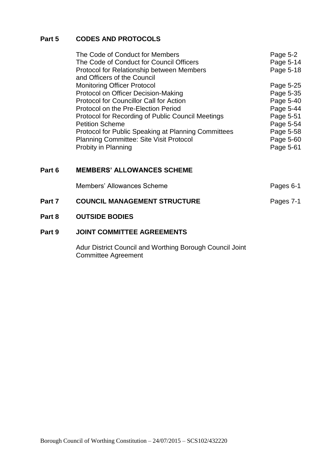#### **Part 5 CODES AND PROTOCOLS**

| The Code of Conduct for Members                     | Page 5-2  |
|-----------------------------------------------------|-----------|
| The Code of Conduct for Council Officers            | Page 5-14 |
| <b>Protocol for Relationship between Members</b>    | Page 5-18 |
| and Officers of the Council                         |           |
| <b>Monitoring Officer Protocol</b>                  | Page 5-25 |
| Protocol on Officer Decision-Making                 | Page 5-35 |
| <b>Protocol for Councillor Call for Action</b>      | Page 5-40 |
| Protocol on the Pre-Election Period                 | Page 5-44 |
| Protocol for Recording of Public Council Meetings   | Page 5-51 |
| <b>Petition Scheme</b>                              | Page 5-54 |
| Protocol for Public Speaking at Planning Committees | Page 5-58 |
| <b>Planning Committee: Site Visit Protocol</b>      | Page 5-60 |
| Probity in Planning                                 | Page 5-61 |

#### **Part 6 MEMBERS' ALLOWANCES SCHEME**

|        | Members' Allowances Scheme          | Pages 6-1 |
|--------|-------------------------------------|-----------|
| Part 7 | <b>COUNCIL MANAGEMENT STRUCTURE</b> | Pages 7-1 |

#### **Part 8 OUTSIDE BODIES**

#### **Part 9 JOINT COMMITTEE AGREEMENTS**

Adur District Council and Worthing Borough Council Joint Committee Agreement